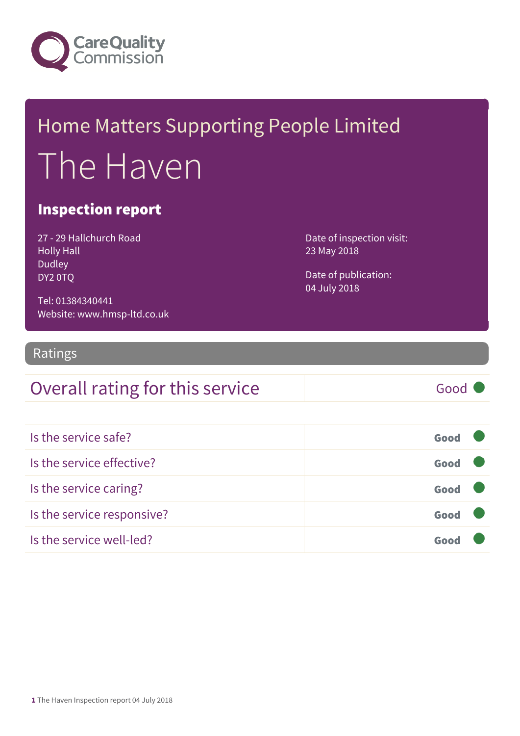

## Home Matters Supporting People Limited The Haven

#### Inspection report

27 - 29 Hallchurch Road Holly Hall Dudley DY2 0TQ

Date of inspection visit: 23 May 2018

Date of publication: 04 July 2018

Tel: 01384340441 Website: www.hmsp-ltd.co.uk

#### Ratings

| Overall rating for this service | Good |
|---------------------------------|------|
|---------------------------------|------|

| Is the service safe?       | Good |  |
|----------------------------|------|--|
| Is the service effective?  | Good |  |
| Is the service caring?     | Good |  |
| Is the service responsive? | Good |  |
| Is the service well-led?   |      |  |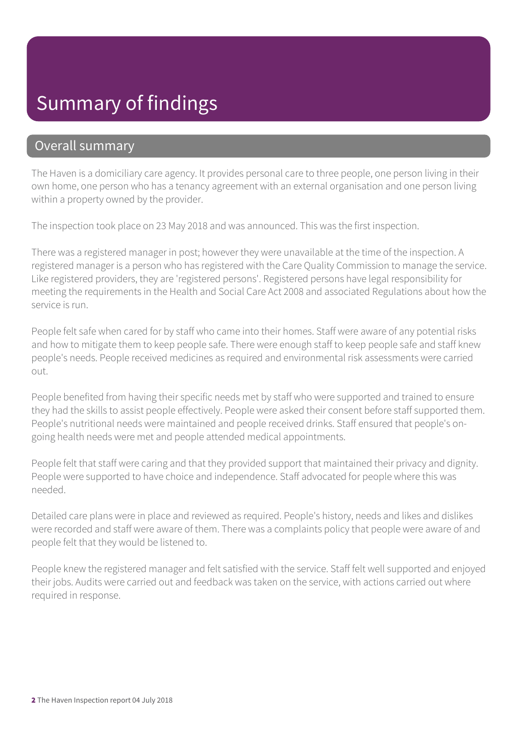#### Summary of findings

#### Overall summary

The Haven is a domiciliary care agency. It provides personal care to three people, one person living in their own home, one person who has a tenancy agreement with an external organisation and one person living within a property owned by the provider.

The inspection took place on 23 May 2018 and was announced. This was the first inspection.

There was a registered manager in post; however they were unavailable at the time of the inspection. A registered manager is a person who has registered with the Care Quality Commission to manage the service. Like registered providers, they are 'registered persons'. Registered persons have legal responsibility for meeting the requirements in the Health and Social Care Act 2008 and associated Regulations about how the service is run.

People felt safe when cared for by staff who came into their homes. Staff were aware of any potential risks and how to mitigate them to keep people safe. There were enough staff to keep people safe and staff knew people's needs. People received medicines as required and environmental risk assessments were carried out.

People benefited from having their specific needs met by staff who were supported and trained to ensure they had the skills to assist people effectively. People were asked their consent before staff supported them. People's nutritional needs were maintained and people received drinks. Staff ensured that people's ongoing health needs were met and people attended medical appointments.

People felt that staff were caring and that they provided support that maintained their privacy and dignity. People were supported to have choice and independence. Staff advocated for people where this was needed.

Detailed care plans were in place and reviewed as required. People's history, needs and likes and dislikes were recorded and staff were aware of them. There was a complaints policy that people were aware of and people felt that they would be listened to.

People knew the registered manager and felt satisfied with the service. Staff felt well supported and enjoyed their jobs. Audits were carried out and feedback was taken on the service, with actions carried out where required in response.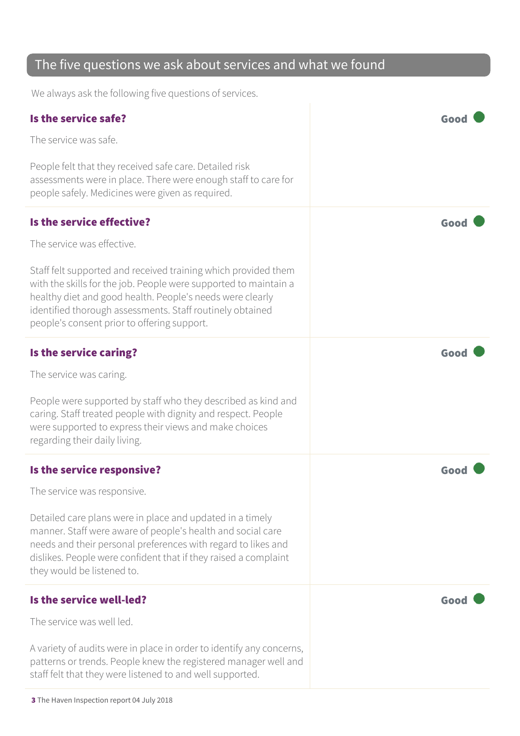#### The five questions we ask about services and what we found

We always ask the following five questions of services.

| Is the service safe?                                                                                                                                                                                                                                                                                        | Good |
|-------------------------------------------------------------------------------------------------------------------------------------------------------------------------------------------------------------------------------------------------------------------------------------------------------------|------|
| The service was safe.                                                                                                                                                                                                                                                                                       |      |
| People felt that they received safe care. Detailed risk<br>assessments were in place. There were enough staff to care for<br>people safely. Medicines were given as required.                                                                                                                               |      |
| Is the service effective?                                                                                                                                                                                                                                                                                   | Good |
| The service was effective.                                                                                                                                                                                                                                                                                  |      |
| Staff felt supported and received training which provided them<br>with the skills for the job. People were supported to maintain a<br>healthy diet and good health. People's needs were clearly<br>identified thorough assessments. Staff routinely obtained<br>people's consent prior to offering support. |      |
| Is the service caring?                                                                                                                                                                                                                                                                                      | Good |
| The service was caring.                                                                                                                                                                                                                                                                                     |      |
| People were supported by staff who they described as kind and<br>caring. Staff treated people with dignity and respect. People<br>were supported to express their views and make choices<br>regarding their daily living.                                                                                   |      |
| Is the service responsive?                                                                                                                                                                                                                                                                                  | Good |
| The service was responsive.                                                                                                                                                                                                                                                                                 |      |
| Detailed care plans were in place and updated in a timely<br>manner. Staff were aware of people's health and social care<br>needs and their personal preferences with regard to likes and<br>dislikes. People were confident that if they raised a complaint<br>they would be listened to.                  |      |
| Is the service well-led?                                                                                                                                                                                                                                                                                    | Good |
| The service was well led.                                                                                                                                                                                                                                                                                   |      |
| A variety of audits were in place in order to identify any concerns,<br>patterns or trends. People knew the registered manager well and<br>staff felt that they were listened to and well supported.                                                                                                        |      |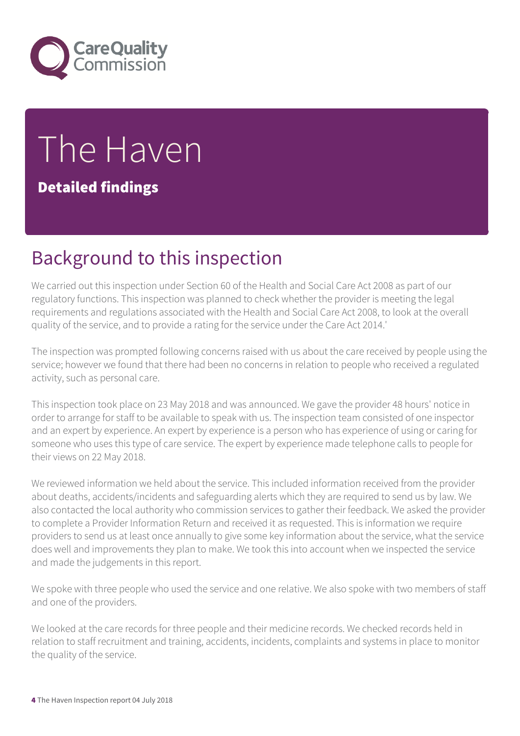

# The Haven

Detailed findings

## Background to this inspection

We carried out this inspection under Section 60 of the Health and Social Care Act 2008 as part of our regulatory functions. This inspection was planned to check whether the provider is meeting the legal requirements and regulations associated with the Health and Social Care Act 2008, to look at the overall quality of the service, and to provide a rating for the service under the Care Act 2014.'

The inspection was prompted following concerns raised with us about the care received by people using the service; however we found that there had been no concerns in relation to people who received a regulated activity, such as personal care.

This inspection took place on 23 May 2018 and was announced. We gave the provider 48 hours' notice in order to arrange for staff to be available to speak with us. The inspection team consisted of one inspector and an expert by experience. An expert by experience is a person who has experience of using or caring for someone who uses this type of care service. The expert by experience made telephone calls to people for their views on 22 May 2018.

We reviewed information we held about the service. This included information received from the provider about deaths, accidents/incidents and safeguarding alerts which they are required to send us by law. We also contacted the local authority who commission services to gather their feedback. We asked the provider to complete a Provider Information Return and received it as requested. This is information we require providers to send us at least once annually to give some key information about the service, what the service does well and improvements they plan to make. We took this into account when we inspected the service and made the judgements in this report.

We spoke with three people who used the service and one relative. We also spoke with two members of staff and one of the providers.

We looked at the care records for three people and their medicine records. We checked records held in relation to staff recruitment and training, accidents, incidents, complaints and systems in place to monitor the quality of the service.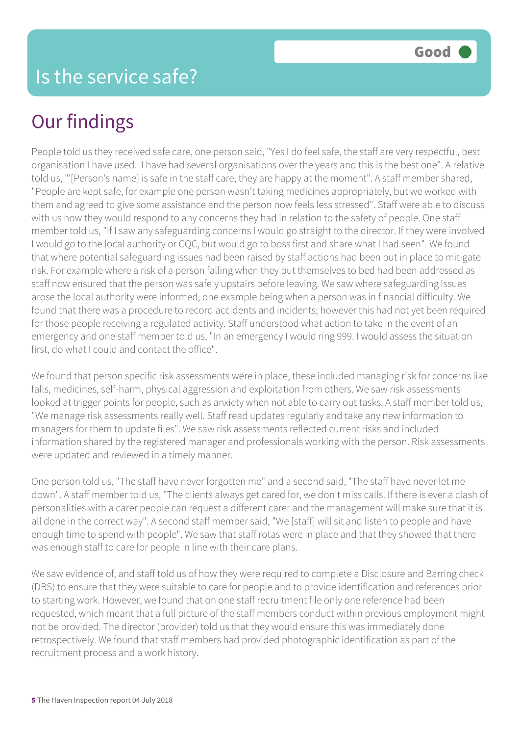People told us they received safe care, one person said, "Yes I do feel safe, the staff are very respectful, best organisation I have used. I have had several organisations over the years and this is the best one". A relative told us, "'[Person's name] is safe in the staff care, they are happy at the moment". A staff member shared, "People are kept safe, for example one person wasn't taking medicines appropriately, but we worked with them and agreed to give some assistance and the person now feels less stressed". Staff were able to discuss with us how they would respond to any concerns they had in relation to the safety of people. One staff member told us, "If I saw any safeguarding concerns I would go straight to the director. If they were involved I would go to the local authority or CQC, but would go to boss first and share what I had seen". We found that where potential safeguarding issues had been raised by staff actions had been put in place to mitigate risk. For example where a risk of a person falling when they put themselves to bed had been addressed as staff now ensured that the person was safely upstairs before leaving. We saw where safeguarding issues arose the local authority were informed, one example being when a person was in financial difficulty. We found that there was a procedure to record accidents and incidents; however this had not yet been required for those people receiving a regulated activity. Staff understood what action to take in the event of an emergency and one staff member told us, "In an emergency I would ring 999. I would assess the situation first, do what I could and contact the office".

We found that person specific risk assessments were in place, these included managing risk for concerns like falls, medicines, self-harm, physical aggression and exploitation from others. We saw risk assessments looked at trigger points for people, such as anxiety when not able to carry out tasks. A staff member told us, "We manage risk assessments really well. Staff read updates regularly and take any new information to managers for them to update files". We saw risk assessments reflected current risks and included information shared by the registered manager and professionals working with the person. Risk assessments were updated and reviewed in a timely manner.

One person told us, "The staff have never forgotten me" and a second said, "The staff have never let me down". A staff member told us, "The clients always get cared for, we don't miss calls. If there is ever a clash of personalities with a carer people can request a different carer and the management will make sure that it is all done in the correct way". A second staff member said, "We [staff] will sit and listen to people and have enough time to spend with people". We saw that staff rotas were in place and that they showed that there was enough staff to care for people in line with their care plans.

We saw evidence of, and staff told us of how they were required to complete a Disclosure and Barring check (DBS) to ensure that they were suitable to care for people and to provide identification and references prior to starting work. However, we found that on one staff recruitment file only one reference had been requested, which meant that a full picture of the staff members conduct within previous employment might not be provided. The director (provider) told us that they would ensure this was immediately done retrospectively. We found that staff members had provided photographic identification as part of the recruitment process and a work history.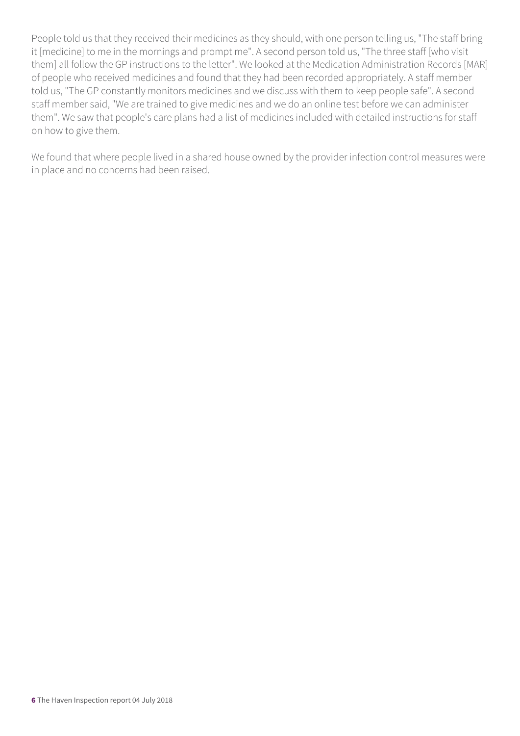People told us that they received their medicines as they should, with one person telling us, "The staff bring it [medicine] to me in the mornings and prompt me". A second person told us, "The three staff [who visit them] all follow the GP instructions to the letter". We looked at the Medication Administration Records [MAR] of people who received medicines and found that they had been recorded appropriately. A staff member told us, "The GP constantly monitors medicines and we discuss with them to keep people safe". A second staff member said, "We are trained to give medicines and we do an online test before we can administer them". We saw that people's care plans had a list of medicines included with detailed instructions for staff on how to give them.

We found that where people lived in a shared house owned by the provider infection control measures were in place and no concerns had been raised.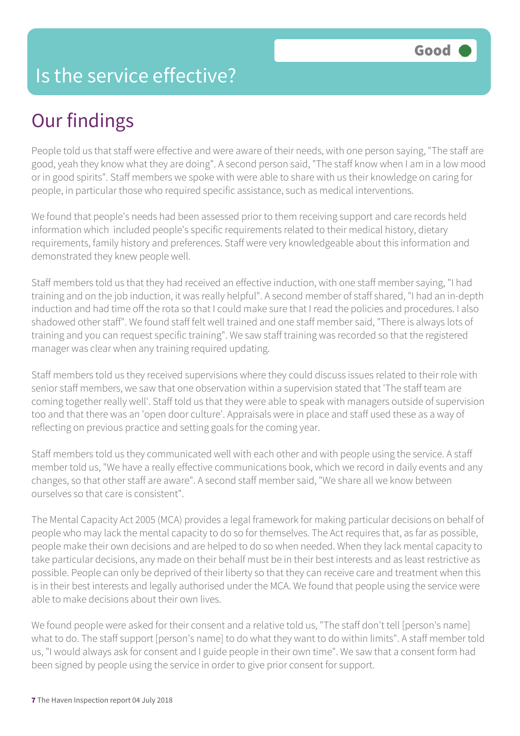#### Is the service effective?

## Our findings

People told us that staff were effective and were aware of their needs, with one person saying, "The staff are good, yeah they know what they are doing". A second person said, "The staff know when I am in a low mood or in good spirits". Staff members we spoke with were able to share with us their knowledge on caring for people, in particular those who required specific assistance, such as medical interventions.

We found that people's needs had been assessed prior to them receiving support and care records held information which included people's specific requirements related to their medical history, dietary requirements, family history and preferences. Staff were very knowledgeable about this information and demonstrated they knew people well.

Staff members told us that they had received an effective induction, with one staff member saying, "I had training and on the job induction, it was really helpful". A second member of staff shared, "I had an in-depth induction and had time off the rota so that I could make sure that I read the policies and procedures. I also shadowed other staff". We found staff felt well trained and one staff member said, "There is always lots of training and you can request specific training". We saw staff training was recorded so that the registered manager was clear when any training required updating.

Staff members told us they received supervisions where they could discuss issues related to their role with senior staff members, we saw that one observation within a supervision stated that 'The staff team are coming together really well'. Staff told us that they were able to speak with managers outside of supervision too and that there was an 'open door culture'. Appraisals were in place and staff used these as a way of reflecting on previous practice and setting goals for the coming year.

Staff members told us they communicated well with each other and with people using the service. A staff member told us, "We have a really effective communications book, which we record in daily events and any changes, so that other staff are aware". A second staff member said, "We share all we know between ourselves so that care is consistent".

The Mental Capacity Act 2005 (MCA) provides a legal framework for making particular decisions on behalf of people who may lack the mental capacity to do so for themselves. The Act requires that, as far as possible, people make their own decisions and are helped to do so when needed. When they lack mental capacity to take particular decisions, any made on their behalf must be in their best interests and as least restrictive as possible. People can only be deprived of their liberty so that they can receive care and treatment when this is in their best interests and legally authorised under the MCA. We found that people using the service were able to make decisions about their own lives.

We found people were asked for their consent and a relative told us, "The staff don't tell [person's name] what to do. The staff support [person's name] to do what they want to do within limits". A staff member told us, "I would always ask for consent and I guide people in their own time". We saw that a consent form had been signed by people using the service in order to give prior consent for support.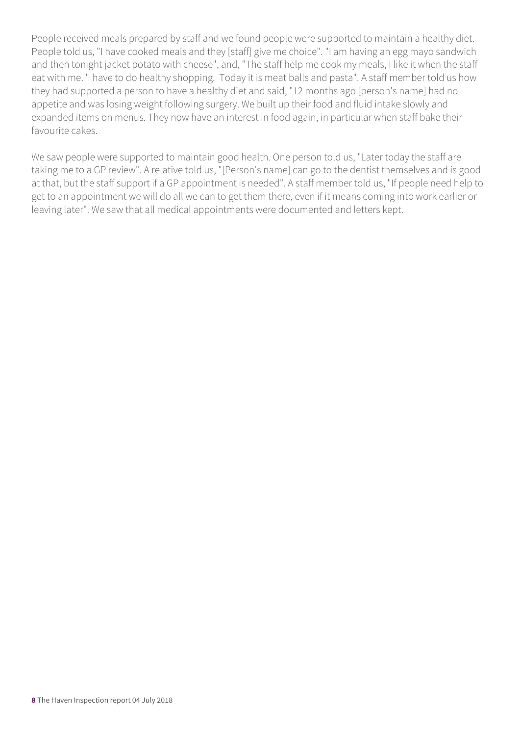People received meals prepared by staff and we found people were supported to maintain a healthy diet. People told us, "I have cooked meals and they [staff] give me choice". "I am having an egg mayo sandwich and then tonight jacket potato with cheese", and, "The staff help me cook my meals, I like it when the staff eat with me. 'I have to do healthy shopping. Today it is meat balls and pasta". A staff member told us how they had supported a person to have a healthy diet and said, "12 months ago [person's name] had no appetite and was losing weight following surgery. We built up their food and fluid intake slowly and expanded items on menus. They now have an interest in food again, in particular when staff bake their favourite cakes.

We saw people were supported to maintain good health. One person told us, "Later today the staff are taking me to a GP review". A relative told us, "[Person's name] can go to the dentist themselves and is good at that, but the staff support if a GP appointment is needed". A staff member told us, "If people need help to get to an appointment we will do all we can to get them there, even if it means coming into work earlier or leaving later". We saw that all medical appointments were documented and letters kept.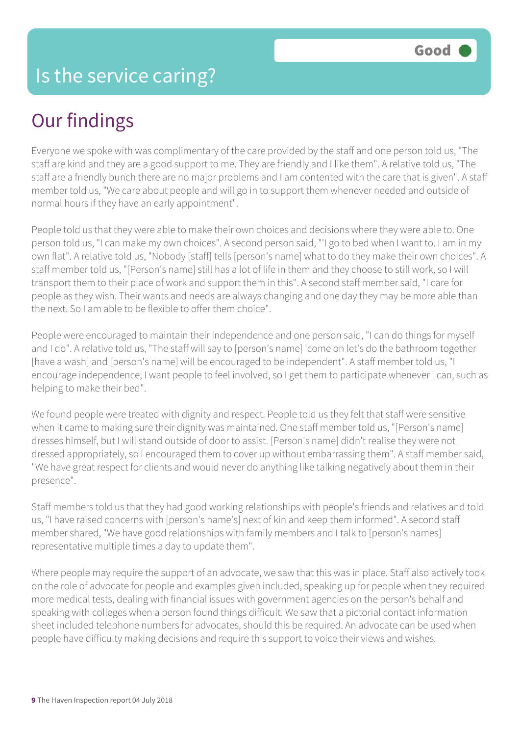Everyone we spoke with was complimentary of the care provided by the staff and one person told us, "The staff are kind and they are a good support to me. They are friendly and I like them". A relative told us, "The staff are a friendly bunch there are no major problems and I am contented with the care that is given". A staff member told us, "We care about people and will go in to support them whenever needed and outside of normal hours if they have an early appointment".

People told us that they were able to make their own choices and decisions where they were able to. One person told us, "I can make my own choices". A second person said, "'I go to bed when I want to. I am in my own flat". A relative told us, "Nobody [staff] tells [person's name] what to do they make their own choices". A staff member told us, "[Person's name] still has a lot of life in them and they choose to still work, so I will transport them to their place of work and support them in this". A second staff member said, "I care for people as they wish. Their wants and needs are always changing and one day they may be more able than the next. So I am able to be flexible to offer them choice".

People were encouraged to maintain their independence and one person said, "I can do things for myself and I do". A relative told us, "The staff will say to [person's name] 'come on let's do the bathroom together [have a wash] and [person's name] will be encouraged to be independent". A staff member told us, "I encourage independence; I want people to feel involved, so I get them to participate whenever I can, such as helping to make their bed".

We found people were treated with dignity and respect. People told us they felt that staff were sensitive when it came to making sure their dignity was maintained. One staff member told us, "[Person's name] dresses himself, but I will stand outside of door to assist. [Person's name] didn't realise they were not dressed appropriately, so I encouraged them to cover up without embarrassing them". A staff member said, "We have great respect for clients and would never do anything like talking negatively about them in their presence".

Staff members told us that they had good working relationships with people's friends and relatives and told us, "I have raised concerns with [person's name's] next of kin and keep them informed". A second staff member shared, "We have good relationships with family members and I talk to [person's names] representative multiple times a day to update them".

Where people may require the support of an advocate, we saw that this was in place. Staff also actively took on the role of advocate for people and examples given included, speaking up for people when they required more medical tests, dealing with financial issues with government agencies on the person's behalf and speaking with colleges when a person found things difficult. We saw that a pictorial contact information sheet included telephone numbers for advocates, should this be required. An advocate can be used when people have difficulty making decisions and require this support to voice their views and wishes.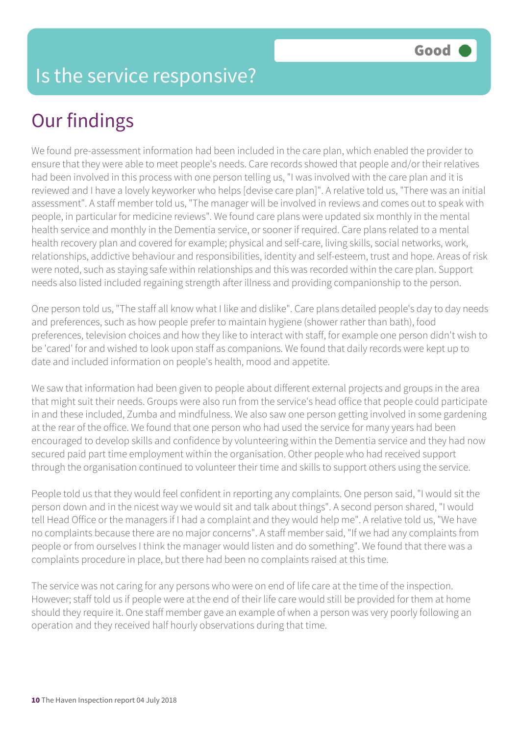We found pre-assessment information had been included in the care plan, which enabled the provider to ensure that they were able to meet people's needs. Care records showed that people and/or their relatives had been involved in this process with one person telling us, "I was involved with the care plan and it is reviewed and I have a lovely keyworker who helps [devise care plan]". A relative told us, "There was an initial assessment". A staff member told us, "The manager will be involved in reviews and comes out to speak with people, in particular for medicine reviews". We found care plans were updated six monthly in the mental health service and monthly in the Dementia service, or sooner if required. Care plans related to a mental health recovery plan and covered for example; physical and self-care, living skills, social networks, work, relationships, addictive behaviour and responsibilities, identity and self-esteem, trust and hope. Areas of risk were noted, such as staying safe within relationships and this was recorded within the care plan. Support needs also listed included regaining strength after illness and providing companionship to the person.

One person told us, "The staff all know what I like and dislike". Care plans detailed people's day to day needs and preferences, such as how people prefer to maintain hygiene (shower rather than bath), food preferences, television choices and how they like to interact with staff, for example one person didn't wish to be 'cared' for and wished to look upon staff as companions. We found that daily records were kept up to date and included information on people's health, mood and appetite.

We saw that information had been given to people about different external projects and groups in the area that might suit their needs. Groups were also run from the service's head office that people could participate in and these included, Zumba and mindfulness. We also saw one person getting involved in some gardening at the rear of the office. We found that one person who had used the service for many years had been encouraged to develop skills and confidence by volunteering within the Dementia service and they had now secured paid part time employment within the organisation. Other people who had received support through the organisation continued to volunteer their time and skills to support others using the service.

People told us that they would feel confident in reporting any complaints. One person said, "I would sit the person down and in the nicest way we would sit and talk about things". A second person shared, "I would tell Head Office or the managers if I had a complaint and they would help me". A relative told us, "We have no complaints because there are no major concerns". A staff member said, "If we had any complaints from people or from ourselves I think the manager would listen and do something". We found that there was a complaints procedure in place, but there had been no complaints raised at this time.

The service was not caring for any persons who were on end of life care at the time of the inspection. However; staff told us if people were at the end of their life care would still be provided for them at home should they require it. One staff member gave an example of when a person was very poorly following an operation and they received half hourly observations during that time.